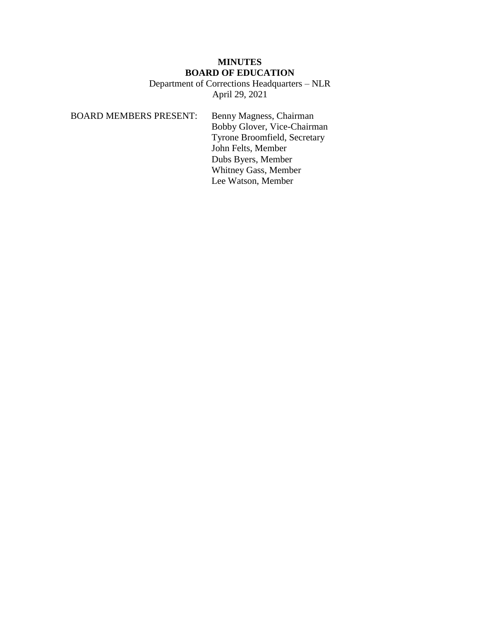# **MINUTES BOARD OF EDUCATION**

Department of Corrections Headquarters – NLR April 29, 2021

BOARD MEMBERS PRESENT: Benny Magness, Chairman Bobby Glover, Vice-Chairman Tyrone Broomfield, Secretary John Felts, Member Dubs Byers, Member Whitney Gass, Member Lee Watson, Member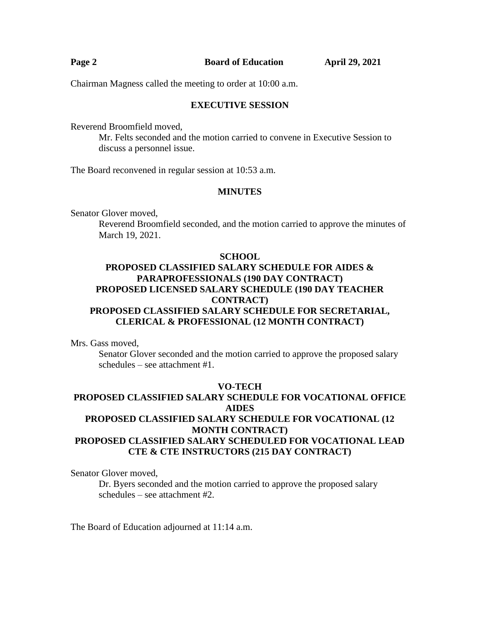| Page 2 | <b>Board of Education</b> | <b>April 29, 2021</b> |
|--------|---------------------------|-----------------------|
|        |                           |                       |

Chairman Magness called the meeting to order at 10:00 a.m.

### **EXECUTIVE SESSION**

Reverend Broomfield moved,

Mr. Felts seconded and the motion carried to convene in Executive Session to discuss a personnel issue.

The Board reconvened in regular session at 10:53 a.m.

## **MINUTES**

Senator Glover moved,

Reverend Broomfield seconded, and the motion carried to approve the minutes of March 19, 2021.

#### **SCHOOL**

# **PROPOSED CLASSIFIED SALARY SCHEDULE FOR AIDES & PARAPROFESSIONALS (190 DAY CONTRACT) PROPOSED LICENSED SALARY SCHEDULE (190 DAY TEACHER CONTRACT) PROPOSED CLASSIFIED SALARY SCHEDULE FOR SECRETARIAL, CLERICAL & PROFESSIONAL (12 MONTH CONTRACT)**

Mrs. Gass moved,

Senator Glover seconded and the motion carried to approve the proposed salary schedules – see attachment #1.

## **VO-TECH PROPOSED CLASSIFIED SALARY SCHEDULE FOR VOCATIONAL OFFICE AIDES PROPOSED CLASSIFIED SALARY SCHEDULE FOR VOCATIONAL (12 MONTH CONTRACT) PROPOSED CLASSIFIED SALARY SCHEDULED FOR VOCATIONAL LEAD CTE & CTE INSTRUCTORS (215 DAY CONTRACT)**

Senator Glover moved,

Dr. Byers seconded and the motion carried to approve the proposed salary schedules – see attachment #2.

The Board of Education adjourned at 11:14 a.m.